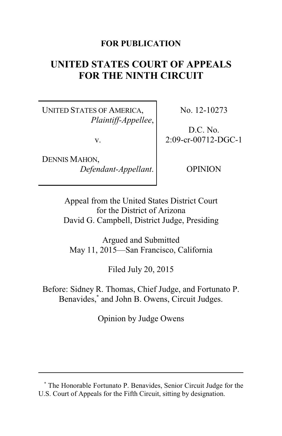# **FOR PUBLICATION**

# **UNITED STATES COURT OF APPEALS FOR THE NINTH CIRCUIT**

UNITED STATES OF AMERICA, *Plaintiff-Appellee*,

v.

DENNIS MAHON, *Defendant-Appellant*. No. 12-10273

D.C. No. 2:09-cr-00712-DGC-1

OPINION

Appeal from the United States District Court for the District of Arizona David G. Campbell, District Judge, Presiding

Argued and Submitted May 11, 2015—San Francisco, California

Filed July 20, 2015

Before: Sidney R. Thomas, Chief Judge, and Fortunato P. Benavides,**\*** and John B. Owens, Circuit Judges.

Opinion by Judge Owens

**<sup>\*</sup>** The Honorable Fortunato P. Benavides, Senior Circuit Judge for the U.S. Court of Appeals for the Fifth Circuit, sitting by designation.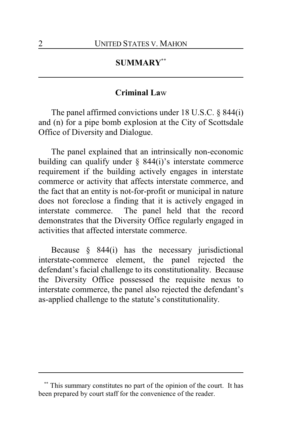# **SUMMARY\*\***

# **Criminal La**w

The panel affirmed convictions under 18 U.S.C. § 844(i) and (n) for a pipe bomb explosion at the City of Scottsdale Office of Diversity and Dialogue.

The panel explained that an intrinsically non-economic building can qualify under  $\S$  844(i)'s interstate commerce requirement if the building actively engages in interstate commerce or activity that affects interstate commerce, and the fact that an entity is not-for-profit or municipal in nature does not foreclose a finding that it is actively engaged in interstate commerce. The panel held that the record demonstrates that the Diversity Office regularly engaged in activities that affected interstate commerce.

Because § 844(i) has the necessary jurisdictional interstate-commerce element, the panel rejected the defendant's facial challenge to its constitutionality. Because the Diversity Office possessed the requisite nexus to interstate commerce, the panel also rejected the defendant's as-applied challenge to the statute's constitutionality.

This summary constitutes no part of the opinion of the court. It has been prepared by court staff for the convenience of the reader.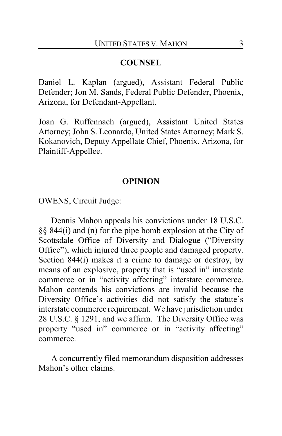## **COUNSEL**

Daniel L. Kaplan (argued), Assistant Federal Public Defender; Jon M. Sands, Federal Public Defender, Phoenix, Arizona, for Defendant-Appellant.

Joan G. Ruffennach (argued), Assistant United States Attorney; John S. Leonardo, United States Attorney; Mark S. Kokanovich, Deputy Appellate Chief, Phoenix, Arizona, for Plaintiff-Appellee.

### **OPINION**

OWENS, Circuit Judge:

Dennis Mahon appeals his convictions under 18 U.S.C. §§ 844(i) and (n) for the pipe bomb explosion at the City of Scottsdale Office of Diversity and Dialogue ("Diversity Office"), which injured three people and damaged property. Section 844(i) makes it a crime to damage or destroy, by means of an explosive, property that is "used in" interstate commerce or in "activity affecting" interstate commerce. Mahon contends his convictions are invalid because the Diversity Office's activities did not satisfy the statute's interstate commerce requirement. We have jurisdiction under 28 U.S.C. § 1291, and we affirm. The Diversity Office was property "used in" commerce or in "activity affecting" commerce.

A concurrently filed memorandum disposition addresses Mahon's other claims.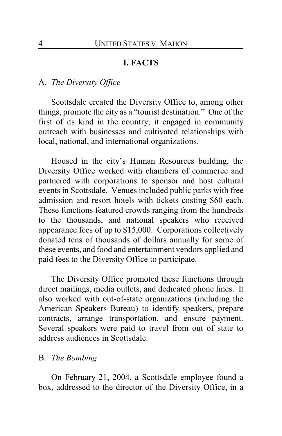# **I. FACTS**

#### A. *The Diversity Office*

Scottsdale created the Diversity Office to, among other things, promote the city as a "tourist destination." One of the first of its kind in the country, it engaged in community outreach with businesses and cultivated relationships with local, national, and international organizations.

Housed in the city's Human Resources building, the Diversity Office worked with chambers of commerce and partnered with corporations to sponsor and host cultural events in Scottsdale. Venues included public parks with free admission and resort hotels with tickets costing \$60 each. These functions featured crowds ranging from the hundreds to the thousands, and national speakers who received appearance fees of up to \$15,000. Corporations collectively donated tens of thousands of dollars annually for some of these events, and food and entertainment vendors applied and paid fees to the Diversity Office to participate.

The Diversity Office promoted these functions through direct mailings, media outlets, and dedicated phone lines. It also worked with out-of-state organizations (including the American Speakers Bureau) to identify speakers, prepare contracts, arrange transportation, and ensure payment. Several speakers were paid to travel from out of state to address audiences in Scottsdale.

#### B. *The Bombing*

On February 21, 2004, a Scottsdale employee found a box, addressed to the director of the Diversity Office, in a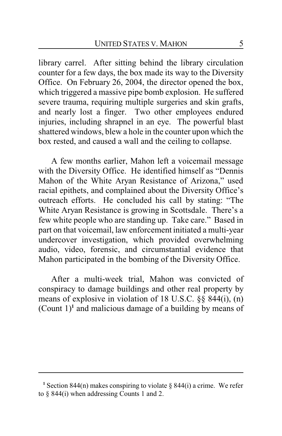library carrel. After sitting behind the library circulation counter for a few days, the box made its way to the Diversity Office. On February 26, 2004, the director opened the box, which triggered a massive pipe bomb explosion. He suffered severe trauma, requiring multiple surgeries and skin grafts, and nearly lost a finger. Two other employees endured injuries, including shrapnel in an eye. The powerful blast shattered windows, blew a hole in the counter upon which the box rested, and caused a wall and the ceiling to collapse.

A few months earlier, Mahon left a voicemail message with the Diversity Office. He identified himself as "Dennis Mahon of the White Aryan Resistance of Arizona," used racial epithets, and complained about the Diversity Office's outreach efforts. He concluded his call by stating: "The White Aryan Resistance is growing in Scottsdale. There's a few white people who are standing up. Take care." Based in part on that voicemail, law enforcement initiated a multi-year undercover investigation, which provided overwhelming audio, video, forensic, and circumstantial evidence that Mahon participated in the bombing of the Diversity Office.

After a multi-week trial, Mahon was convicted of conspiracy to damage buildings and other real property by means of explosive in violation of 18 U.S.C. §§ 844(i), (n) (Count 1)**<sup>1</sup>** and malicious damage of a building by means of

<sup>&</sup>lt;sup>1</sup> Section 844(n) makes conspiring to violate  $\S$  844(i) a crime. We refer to § 844(i) when addressing Counts 1 and 2.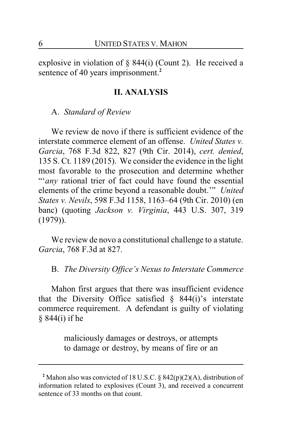explosive in violation of  $\S$  844(i) (Count 2). He received a sentence of 40 years imprisonment.**<sup>2</sup>**

#### **II. ANALYSIS**

A. *Standard of Review*

We review de novo if there is sufficient evidence of the interstate commerce element of an offense. *United States v. Garcia*, 768 F.3d 822, 827 (9th Cir. 2014), *cert. denied*, 135 S. Ct. 1189 (2015). We consider the evidence in the light most favorable to the prosecution and determine whether "'*any* rational trier of fact could have found the essential elements of the crime beyond a reasonable doubt.'" *United States v. Nevils*, 598 F.3d 1158, 1163–64 (9th Cir. 2010) (en banc) (quoting *Jackson v. Virginia*, 443 U.S. 307, 319 (1979)).

We review de novo a constitutional challenge to a statute. *Garcia*, 768 F.3d at 827.

B. *The Diversity Office's Nexus to Interstate Commerce*

Mahon first argues that there was insufficient evidence that the Diversity Office satisfied  $\S$  844(i)'s interstate commerce requirement. A defendant is guilty of violating § 844(i) if he

> maliciously damages or destroys, or attempts to damage or destroy, by means of fire or an

**<sup>2</sup>** Mahon also was convicted of 18 U.S.C. § 842(p)(2)(A), distribution of information related to explosives (Count 3), and received a concurrent sentence of 33 months on that count.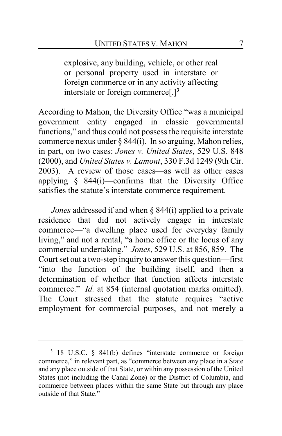explosive, any building, vehicle, or other real or personal property used in interstate or foreign commerce or in any activity affecting interstate or foreign commerce[.]**<sup>3</sup>**

According to Mahon, the Diversity Office "was a municipal government entity engaged in classic governmental functions," and thus could not possess the requisite interstate commerce nexus under § 844(i). In so arguing, Mahon relies, in part, on two cases: *Jones v. United States*, 529 U.S. 848 (2000), and *United States v. Lamont*, 330 F.3d 1249 (9th Cir. 2003). A review of those cases—as well as other cases applying § 844(i)—confirms that the Diversity Office satisfies the statute's interstate commerce requirement.

*Jones* addressed if and when § 844(i) applied to a private residence that did not actively engage in interstate commerce—"a dwelling place used for everyday family living," and not a rental, "a home office or the locus of any commercial undertaking." *Jones*, 529 U.S. at 856, 859. The Court set out a two-step inquiry to answer this question—first "into the function of the building itself, and then a determination of whether that function affects interstate commerce." *Id.* at 854 (internal quotation marks omitted). The Court stressed that the statute requires "active employment for commercial purposes, and not merely a

**<sup>3</sup>** 18 U.S.C. § 841(b) defines "interstate commerce or foreign commerce," in relevant part, as "commerce between any place in a State and any place outside of that State, or within any possession of the United States (not including the Canal Zone) or the District of Columbia, and commerce between places within the same State but through any place outside of that State."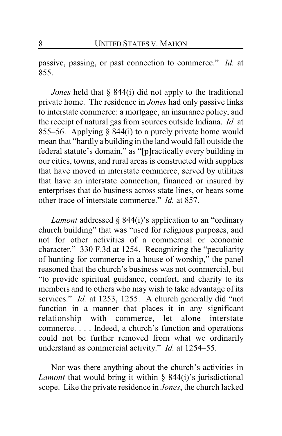passive, passing, or past connection to commerce." *Id.* at 855.

*Jones* held that § 844(i) did not apply to the traditional private home. The residence in *Jones* had only passive links to interstate commerce: a mortgage, an insurance policy, and the receipt of natural gas from sources outside Indiana. *Id.* at 855–56. Applying  $\S$  844(i) to a purely private home would mean that "hardly a building in the land would fall outside the federal statute's domain," as "[p]ractically every building in our cities, towns, and rural areas is constructed with supplies that have moved in interstate commerce, served by utilities that have an interstate connection, financed or insured by enterprises that do business across state lines, or bears some other trace of interstate commerce." *Id.* at 857.

*Lamont* addressed § 844(i)'s application to an "ordinary church building" that was "used for religious purposes, and not for other activities of a commercial or economic character." 330 F.3d at 1254. Recognizing the "peculiarity of hunting for commerce in a house of worship," the panel reasoned that the church's business was not commercial, but "to provide spiritual guidance, comfort, and charity to its members and to others who may wish to take advantage of its services." *Id.* at 1253, 1255. A church generally did "not function in a manner that places it in any significant relationship with commerce, let alone interstate commerce. . . . Indeed, a church's function and operations could not be further removed from what we ordinarily understand as commercial activity." *Id.* at 1254–55.

Nor was there anything about the church's activities in *Lamont* that would bring it within § 844(i)'s jurisdictional scope. Like the private residence in *Jones*, the church lacked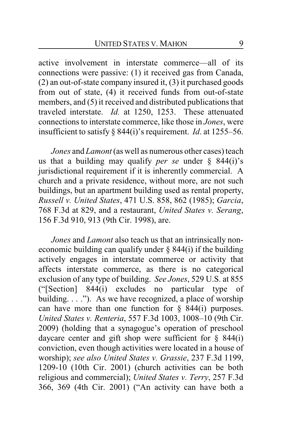active involvement in interstate commerce—all of its connections were passive: (1) it received gas from Canada, (2) an out-of-state company insured it, (3) it purchased goods from out of state, (4) it received funds from out-of-state members, and (5) it received and distributed publications that traveled interstate. *Id.* at 1250, 1253. These attenuated connections to interstate commerce, like those in *Jones*, were insufficient to satisfy § 844(i)'s requirement. *Id*. at 1255–56.

*Jones* and *Lamont*(as well as numerous other cases) teach us that a building may qualify *per se* under § 844(i)'s jurisdictional requirement if it is inherently commercial. A church and a private residence, without more, are not such buildings, but an apartment building used as rental property, *Russell v. United States*, 471 U.S. 858, 862 (1985); *Garcia*, 768 F.3d at 829, and a restaurant, *United States v. Serang*, 156 F.3d 910, 913 (9th Cir. 1998), are.

*Jones* and *Lamont* also teach us that an intrinsically noneconomic building can qualify under  $\S$  844(i) if the building actively engages in interstate commerce or activity that affects interstate commerce, as there is no categorical exclusion of any type of building. *See Jones*, 529 U.S. at 855 ("[Section] 844(i) excludes no particular type of building. . . ."). As we have recognized, a place of worship can have more than one function for  $\S$  844(i) purposes. *United States v. Renteria*, 557 F.3d 1003, 1008–10 (9th Cir. 2009) (holding that a synagogue's operation of preschool daycare center and gift shop were sufficient for  $\S$  844(i) conviction, even though activities were located in a house of worship); *see also United States v. Grassie*, 237 F.3d 1199, 1209-10 (10th Cir. 2001) (church activities can be both religious and commercial); *United States v. Terry*, 257 F.3d 366, 369 (4th Cir. 2001) ("An activity can have both a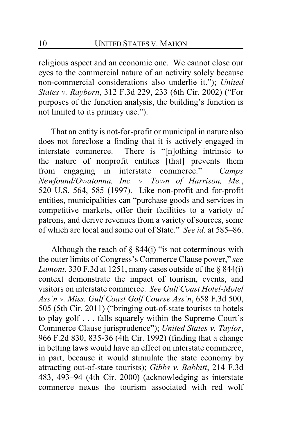religious aspect and an economic one. We cannot close our eyes to the commercial nature of an activity solely because non-commercial considerations also underlie it."); *United States v. Rayborn*, 312 F.3d 229, 233 (6th Cir. 2002) ("For purposes of the function analysis, the building's function is not limited to its primary use.").

That an entity is not-for-profit or municipal in nature also does not foreclose a finding that it is actively engaged in interstate commerce. There is "[n]othing intrinsic to the nature of nonprofit entities [that] prevents them from engaging in interstate commerce." *Camps Newfound/Owatonna, Inc. v. Town of Harrison, Me.*, 520 U.S. 564, 585 (1997). Like non-profit and for-profit entities, municipalities can "purchase goods and services in competitive markets, offer their facilities to a variety of patrons, and derive revenues from a variety of sources, some of which are local and some out of State." *See id.* at 585–86.

Although the reach of  $\S$  844(i) "is not coterminous with the outer limits of Congress's Commerce Clause power," *see Lamont*, 330 F.3d at 1251, many cases outside of the § 844(i) context demonstrate the impact of tourism, events, and visitors on interstate commerce. *See Gulf Coast Hotel-Motel Ass'n v. Miss. Gulf Coast Golf Course Ass'n*, 658 F.3d 500, 505 (5th Cir. 2011) ("bringing out-of-state tourists to hotels to play golf . . . falls squarely within the Supreme Court's Commerce Clause jurisprudence"); *United States v. Taylor*, 966 F.2d 830, 835-36 (4th Cir. 1992) (finding that a change in betting laws would have an effect on interstate commerce, in part, because it would stimulate the state economy by attracting out-of-state tourists); *Gibbs v. Babbitt*, 214 F.3d 483, 493–94 (4th Cir. 2000) (acknowledging as interstate commerce nexus the tourism associated with red wolf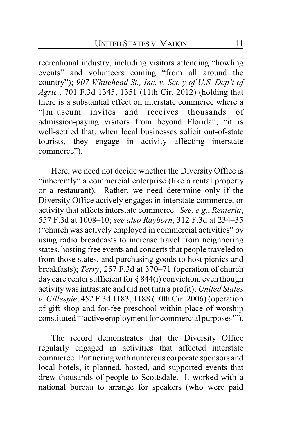recreational industry, including visitors attending "howling events" and volunteers coming "from all around the country"); *907 Whitehead St., Inc. v. Sec'y of U.S. Dep't of Agric.*, 701 F.3d 1345, 1351 (11th Cir. 2012) (holding that there is a substantial effect on interstate commerce where a "[m]useum invites and receives thousands of admission-paying visitors from beyond Florida"; "it is well-settled that, when local businesses solicit out-of-state tourists, they engage in activity affecting interstate commerce").

Here, we need not decide whether the Diversity Office is "inherently" a commercial enterprise (like a rental property or a restaurant). Rather, we need determine only if the Diversity Office actively engages in interstate commerce, or activity that affects interstate commerce. *See, e.g.*, *Renteria*, 557 F.3d at 1008–10; *see also Rayborn*, 312 F.3d at 234–35 ("church was actively employed in commercial activities" by using radio broadcasts to increase travel from neighboring states, hosting free events and concerts that people traveled to from those states, and purchasing goods to host picnics and breakfasts); *Terry*, 257 F.3d at 370–71 (operation of church day care center sufficient for  $\S 844(i)$  conviction, even though activity was intrastate and did not turn a profit); *United States v. Gillespie*, 452 F.3d 1183, 1188 (10th Cir. 2006) (operation of gift shop and for-fee preschool within place of worship constituted "'active employment for commercial purposes'").

The record demonstrates that the Diversity Office regularly engaged in activities that affected interstate commerce. Partneringwith numerous corporate sponsors and local hotels, it planned, hosted, and supported events that drew thousands of people to Scottsdale. It worked with a national bureau to arrange for speakers (who were paid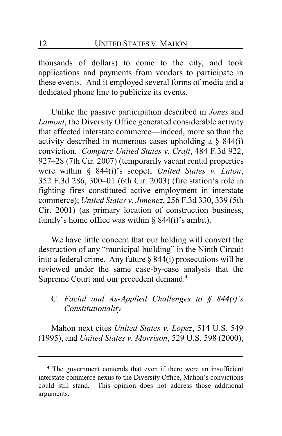thousands of dollars) to come to the city, and took applications and payments from vendors to participate in these events. And it employed several forms of media and a dedicated phone line to publicize its events.

Unlike the passive participation described in *Jones* and *Lamont*, the Diversity Office generated considerable activity that affected interstate commerce—indeed, more so than the activity described in numerous cases upholding a § 844(i) conviction. *Compare United States v. Craft*, 484 F.3d 922, 927–28 (7th Cir. 2007) (temporarily vacant rental properties were within § 844(i)'s scope); *United States v. Laton*, 352 F.3d 286, 300–01 (6th Cir. 2003) (fire station's role in fighting fires constituted active employment in interstate commerce); *United States v. Jimenez*, 256 F.3d 330, 339 (5th Cir. 2001) (as primary location of construction business, family's home office was within  $\S$  844(i)'s ambit).

We have little concern that our holding will convert the destruction of any "municipal building" in the Ninth Circuit into a federal crime. Any future § 844(i) prosecutions will be reviewed under the same case-by-case analysis that the Supreme Court and our precedent demand.**<sup>4</sup>**

# C. *Facial and As-Applied Challenges to § 844(i)'s Constitutionality*

Mahon next cites *United States v. Lopez*, 514 U.S. 549 (1995), and *United States v. Morrison*, 529 U.S. 598 (2000),

**<sup>4</sup>** The government contends that even if there were an insufficient interstate commerce nexus to the Diversity Office, Mahon's convictions could still stand. This opinion does not address those additional arguments.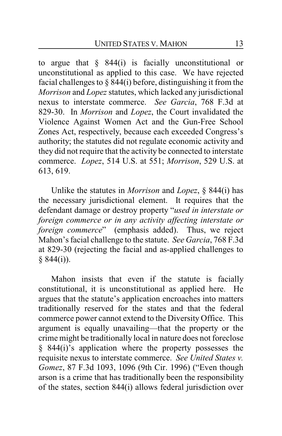to argue that § 844(i) is facially unconstitutional or unconstitutional as applied to this case. We have rejected facial challenges to  $\S$  844(i) before, distinguishing it from the *Morrison* and *Lopez* statutes, which lacked any jurisdictional nexus to interstate commerce. *See Garcia*, 768 F.3d at 829-30. In *Morrison* and *Lopez*, the Court invalidated the Violence Against Women Act and the Gun-Free School Zones Act, respectively, because each exceeded Congress's authority; the statutes did not regulate economic activity and they did not require that the activity be connected to interstate commerce. *Lopez*, 514 U.S. at 551; *Morrison*, 529 U.S. at 613, 619.

Unlike the statutes in *Morrison* and *Lopez*, § 844(i) has the necessary jurisdictional element. It requires that the defendant damage or destroy property "*used in interstate or foreign commerce or in any activity affecting interstate or foreign commerce*" (emphasis added). Thus, we reject Mahon's facial challenge to the statute. *See Garcia*, 768 F.3d at 829-30 (rejecting the facial and as-applied challenges to  $§ 844(i)$ ).

Mahon insists that even if the statute is facially constitutional, it is unconstitutional as applied here. He argues that the statute's application encroaches into matters traditionally reserved for the states and that the federal commerce power cannot extend to the Diversity Office. This argument is equally unavailing—that the property or the crime might be traditionally local in nature does not foreclose § 844(i)'s application where the property possesses the requisite nexus to interstate commerce. *See United States v. Gomez*, 87 F.3d 1093, 1096 (9th Cir. 1996) ("Even though arson is a crime that has traditionally been the responsibility of the states, section 844(i) allows federal jurisdiction over